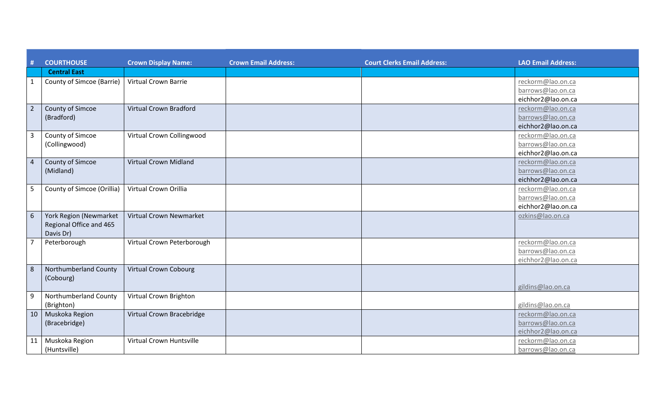| #                       | <b>COURTHOUSE</b>                                              | <b>Crown Display Name:</b>     | <b>Crown Email Address:</b> | <b>Court Clerks Email Address:</b> | <b>LAO Email Address:</b>                                    |
|-------------------------|----------------------------------------------------------------|--------------------------------|-----------------------------|------------------------------------|--------------------------------------------------------------|
|                         | <b>Central East</b>                                            |                                |                             |                                    |                                                              |
| $\mathbf{1}$            | County of Simcoe (Barrie)                                      | <b>Virtual Crown Barrie</b>    |                             |                                    | reckorm@lao.on.ca<br>barrows@lao.on.ca<br>eichhor2@lao.on.ca |
| $\overline{2}$          | County of Simcoe<br>(Bradford)                                 | <b>Virtual Crown Bradford</b>  |                             |                                    | reckorm@lao.on.ca<br>barrows@lao.on.ca<br>eichhor2@lao.on.ca |
| $\overline{\mathbf{3}}$ | County of Simcoe<br>(Collingwood)                              | Virtual Crown Collingwood      |                             |                                    | reckorm@lao.on.ca<br>barrows@lao.on.ca<br>eichhor2@lao.on.ca |
| $\overline{4}$          | County of Simcoe<br>(Midland)                                  | <b>Virtual Crown Midland</b>   |                             |                                    | reckorm@lao.on.ca<br>barrows@lao.on.ca<br>eichhor2@lao.on.ca |
| 5                       | County of Simcoe (Orillia)                                     | Virtual Crown Orillia          |                             |                                    | reckorm@lao.on.ca<br>barrows@lao.on.ca<br>eichhor2@lao.on.ca |
| 6                       | York Region (Newmarket<br>Regional Office and 465<br>Davis Dr) | <b>Virtual Crown Newmarket</b> |                             |                                    | ozkins@lao.on.ca                                             |
| $\overline{7}$          | Peterborough                                                   | Virtual Crown Peterborough     |                             |                                    | reckorm@lao.on.ca<br>barrows@lao.on.ca<br>eichhor2@lao.on.ca |
| 8                       | Northumberland County<br>(Cobourg)                             | <b>Virtual Crown Cobourg</b>   |                             |                                    | gildins@lao.on.ca                                            |
| 9                       | Northumberland County<br>(Brighton)                            | Virtual Crown Brighton         |                             |                                    | gildins@lao.on.ca                                            |
| 10                      | Muskoka Region<br>(Bracebridge)                                | Virtual Crown Bracebridge      |                             |                                    | reckorm@lao.on.ca<br>barrows@lao.on.ca<br>eichhor2@lao.on.ca |
| 11                      | Muskoka Region<br>(Huntsville)                                 | Virtual Crown Huntsville       |                             |                                    | reckorm@lao.on.ca<br>barrows@lao.on.ca                       |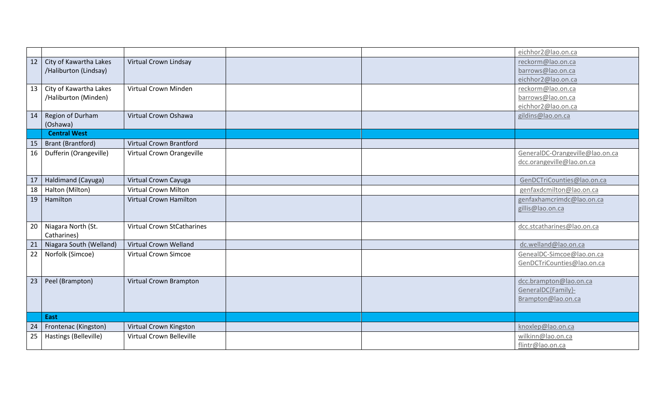|                 |                          |                                   |  | eichhor2@lao.on.ca              |
|-----------------|--------------------------|-----------------------------------|--|---------------------------------|
| 12              | City of Kawartha Lakes   | Virtual Crown Lindsay             |  | reckorm@lao.on.ca               |
|                 | /Haliburton (Lindsay)    |                                   |  | barrows@lao.on.ca               |
|                 |                          |                                   |  | eichhor2@lao.on.ca              |
| 13              | City of Kawartha Lakes   | Virtual Crown Minden              |  | reckorm@lao.on.ca               |
|                 | /Haliburton (Minden)     |                                   |  | barrows@lao.on.ca               |
|                 |                          |                                   |  | eichhor2@lao.on.ca              |
| 14              | Region of Durham         | Virtual Crown Oshawa              |  | gildins@lao.on.ca               |
|                 | (Oshawa)                 |                                   |  |                                 |
|                 | <b>Central West</b>      |                                   |  |                                 |
| 15              | <b>Brant (Brantford)</b> | <b>Virtual Crown Brantford</b>    |  |                                 |
| 16              | Dufferin (Orangeville)   | Virtual Crown Orangeville         |  | GeneralDC-Orangeville@lao.on.ca |
|                 |                          |                                   |  | dcc.orangeville@lao.on.ca       |
|                 |                          |                                   |  |                                 |
| 17              | Haldimand (Cayuga)       | Virtual Crown Cayuga              |  | GenDCTriCounties@lao.on.ca      |
| 18              | Halton (Milton)          | <b>Virtual Crown Milton</b>       |  | genfaxdcmilton@lao.on.ca        |
| 19              | Hamilton                 | <b>Virtual Crown Hamilton</b>     |  | genfaxhamcrimdc@lao.on.ca       |
|                 |                          |                                   |  | gillis@lao.on.ca                |
|                 |                          |                                   |  |                                 |
| 20              | Niagara North (St.       | <b>Virtual Crown StCatharines</b> |  | dcc.stcatharines@lao.on.ca      |
| $\overline{21}$ | Catharines)              | <b>Virtual Crown Welland</b>      |  |                                 |
|                 | Niagara South (Welland)  |                                   |  | dc.welland@lao.on.ca            |
| $\overline{22}$ | Norfolk (Simcoe)         | <b>Virtual Crown Simcoe</b>       |  | GenealDC-Simcoe@lao.on.ca       |
|                 |                          |                                   |  | GenDCTriCounties@lao.on.ca      |
| 23              | Peel (Brampton)          | Virtual Crown Brampton            |  | dcc.brampton@lao.on.ca          |
|                 |                          |                                   |  | GeneralDC{Family}-              |
|                 |                          |                                   |  | Brampton@lao.on.ca              |
|                 |                          |                                   |  |                                 |
|                 | East                     |                                   |  |                                 |
| 24              | Frontenac (Kingston)     | Virtual Crown Kingston            |  | knoxlep@lao.on.ca               |
| 25              | Hastings (Belleville)    | Virtual Crown Belleville          |  | wilkinn@lao.on.ca               |
|                 |                          |                                   |  | flintr@lao.on.ca                |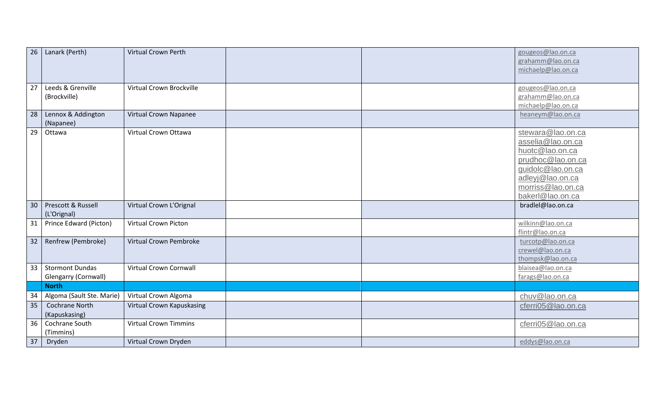| 26 | Lanark (Perth)                                 | <b>Virtual Crown Perth</b>    |  | gougeos@lao.on.ca<br>grahamm@lao.on.ca<br>michaelp@lao.on.ca                                                                                                     |
|----|------------------------------------------------|-------------------------------|--|------------------------------------------------------------------------------------------------------------------------------------------------------------------|
| 27 | Leeds & Grenville<br>(Brockville)              | Virtual Crown Brockville      |  | gougeos@lao.on.ca<br>grahamm@lao.on.ca<br>michaelp@lao.on.ca                                                                                                     |
| 28 | Lennox & Addington<br>(Napanee)                | Virtual Crown Napanee         |  | heaneym@lao.on.ca                                                                                                                                                |
| 29 | Ottawa                                         | Virtual Crown Ottawa          |  | stewara@lao.on.ca<br>asselia@lao.on.ca<br>huotc@lao.on.ca<br>prudhoc@lao.on.ca<br>guidolc@lao.on.ca<br>adleyj@lao.on.ca<br>morriss@lao.on.ca<br>bakerl@lao.on.ca |
| 30 | Prescott & Russell<br>(L'Orignal)              | Virtual Crown L'Orignal       |  | bradlel@lao.on.ca                                                                                                                                                |
| 31 | Prince Edward (Picton)                         | <b>Virtual Crown Picton</b>   |  | wilkinn@lao.on.ca<br>flintr@lao.on.ca                                                                                                                            |
| 32 | Renfrew (Pembroke)                             | Virtual Crown Pembroke        |  | turcotp@lao.on.ca<br>crewel@lao.on.ca<br>thompsk@lao.on.ca                                                                                                       |
| 33 | <b>Stormont Dundas</b><br>Glengarry (Cornwall) | <b>Virtual Crown Cornwall</b> |  | blaisea@lao.on.ca<br>farags@lao.on.ca                                                                                                                            |
|    | <b>North</b>                                   |                               |  |                                                                                                                                                                  |
| 34 | Algoma (Sault Ste. Marie)                      | Virtual Crown Algoma          |  | chuv@lao.on.ca                                                                                                                                                   |
| 35 | Cochrane North<br>(Kapuskasing)                | Virtual Crown Kapuskasing     |  | cferri05@lao.on.ca                                                                                                                                               |
| 36 | Cochrane South<br>(Timmins)                    | <b>Virtual Crown Timmins</b>  |  | cferri05@lao.on.ca                                                                                                                                               |
| 37 | Dryden                                         | Virtual Crown Dryden          |  | eddys@lao.on.ca                                                                                                                                                  |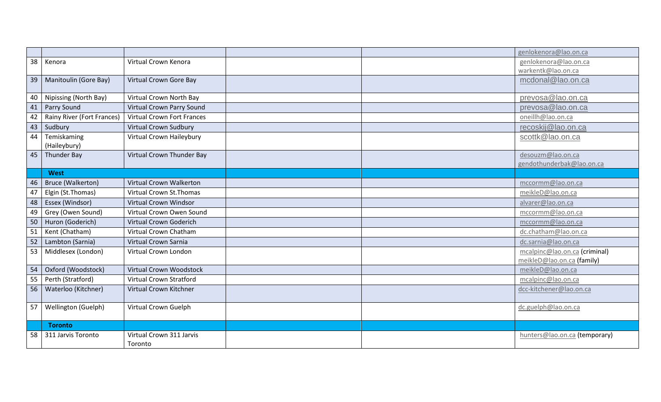|    |                            |                                   |  | genlokenora@lao.on.ca         |
|----|----------------------------|-----------------------------------|--|-------------------------------|
| 38 | Kenora                     | Virtual Crown Kenora              |  | genlokenora@lao.on.ca         |
|    |                            |                                   |  | warkentk@lao.on.ca            |
| 39 | Manitoulin (Gore Bay)      | Virtual Crown Gore Bay            |  | mcdonal@lao.on.ca             |
|    |                            |                                   |  |                               |
| 40 | Nipissing (North Bay)      | Virtual Crown North Bay           |  | prevosa@lao.on.ca             |
| 41 | Parry Sound                | Virtual Crown Parry Sound         |  | prevosa@lao.on.ca             |
| 42 | Rainy River (Fort Frances) | <b>Virtual Crown Fort Frances</b> |  | oneillh@lao.on.ca             |
| 43 | Sudbury                    | <b>Virtual Crown Sudbury</b>      |  | recoskij@lao.on.ca            |
| 44 | Temiskaming                | Virtual Crown Haileybury          |  | scottk@lao.on.ca              |
|    | (Haileybury)               |                                   |  |                               |
| 45 | <b>Thunder Bay</b>         | Virtual Crown Thunder Bay         |  | desouzm@lao.on.ca             |
|    | <b>West</b>                |                                   |  | gendothunderbak@lao.on.ca     |
|    |                            | Virtual Crown Walkerton           |  |                               |
| 46 | Bruce (Walkerton)          |                                   |  | mccormm@lao.on.ca             |
| 47 | Elgin (St. Thomas)         | Virtual Crown St. Thomas          |  | meikleD@lao.on.ca             |
| 48 | Essex (Windsor)            | <b>Virtual Crown Windsor</b>      |  | alvarer@lao.on.ca             |
| 49 | Grey (Owen Sound)          | Virtual Crown Owen Sound          |  | mccormm@lao.on.ca             |
| 50 | Huron (Goderich)           | <b>Virtual Crown Goderich</b>     |  | mccormm@lao.on.ca             |
| 51 | Kent (Chatham)             | <b>Virtual Crown Chatham</b>      |  | dc.chatham@lao.on.ca          |
| 52 | Lambton (Sarnia)           | Virtual Crown Sarnia              |  | dc.sarnia@lao.on.ca           |
| 53 | Middlesex (London)         | Virtual Crown London              |  | mcalpinc@lao.on.ca (criminal) |
|    |                            |                                   |  | meikleD@lao.on.ca (family)    |
| 54 | Oxford (Woodstock)         | <b>Virtual Crown Woodstock</b>    |  | meikleD@lao.on.ca             |
| 55 | Perth (Stratford)          | <b>Virtual Crown Stratford</b>    |  | mcalpinc@lao.on.ca            |
| 56 | Waterloo (Kitchner)        | Virtual Crown Kitchner            |  | dcc-kitchener@lao.on.ca       |
| 57 | Wellington (Guelph)        | Virtual Crown Guelph              |  | dc.guelph@lao.on.ca           |
|    |                            |                                   |  |                               |
|    | <b>Toronto</b>             |                                   |  |                               |
| 58 | 311 Jarvis Toronto         | Virtual Crown 311 Jarvis          |  | hunters@lao.on.ca (temporary) |
|    |                            | Toronto                           |  |                               |